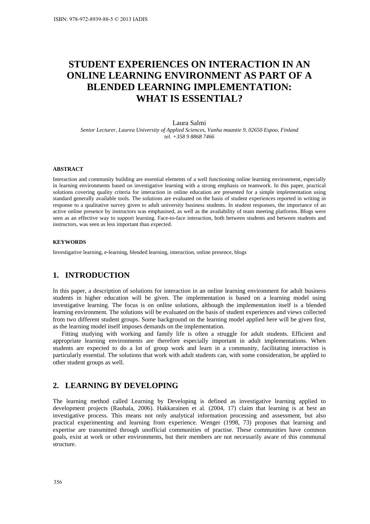# **STUDENT EXPERIENCES ON INTERACTION IN AN ONLINE LEARNING ENVIRONMENT AS PART OF A BLENDED LEARNING IMPLEMENTATION: WHAT IS ESSENTIAL?**

Laura Salmi *Senior Lecturer, Laurea University of Applied Sciences, Vanha maantie 9, 02650 Espoo, Finland tel. +358 9 8868 7466* 

#### **ABSTRACT**

Interaction and community building are essential elements of a well functioning online learning environment, especially in learning environments based on investigative learning with a strong emphasis on teamwork. In this paper, practical solutions covering quality criteria for interaction in online education are presented for a simple implementation using standard generally available tools. The solutions are evaluated on the basis of student experiences reported in writing in response to a qualitative survey given to adult university business students. In student responses, the importance of an active online presence by instructors was emphasised, as well as the availability of team meeting platforms. Blogs were seen as an effective way to support learning. Face-to-face interaction, both between students and between students and instructors, was seen as less important than expected.

#### **KEYWORDS**

Investigative learning, e-learning, blended learning, interaction, online presence, blogs

#### **1. INTRODUCTION**

In this paper, a description of solutions for interaction in an online learning environment for adult business students in higher education will be given. The implementation is based on a learning model using investigative learning. The focus is on online solutions, although the implementation itself is a blended learning environment. The solutions will be evaluated on the basis of student experiences and views collected from two different student groups. Some background on the learning model applied here will be given first, as the learning model itself imposes demands on the implementation.

Fitting studying with working and family life is often a struggle for adult students. Efficient and appropriate learning environments are therefore especially important in adult implementations. When students are expected to do a lot of group work and learn in a community, facilitating interaction is particularly essential. The solutions that work with adult students can, with some consideration, be applied to other student groups as well.

## **2. LEARNING BY DEVELOPING**

The learning method called Learning by Developing is defined as investigative learning applied to development projects (Rauhala, 2006). Hakkarainen et al. (2004, 17) claim that learning is at best an investigative process. This means not only analytical information processing and assessment, but also practical experimenting and learning from experience. Wenger (1998, 73) proposes that learning and expertise are transmitted through unofficial communities of practise. These communities have common goals, exist at work or other environments, but their members are not necessarily aware of this communal structure.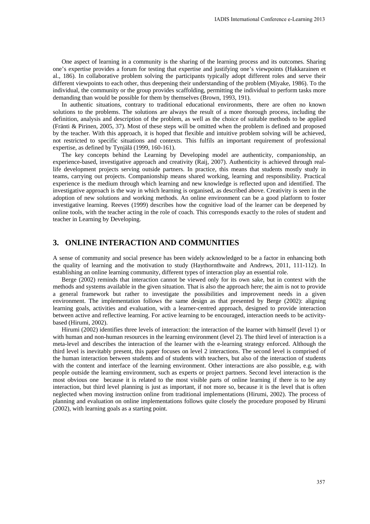One aspect of learning in a community is the sharing of the learning process and its outcomes. Sharing one's expertise provides a forum for testing that expertise and justifying one's viewpoints (Hakkarainen et al., 186). In collaborative problem solving the participants typically adopt different roles and serve their different viewpoints to each other, thus deepening their understanding of the problem (Miyake, 1986). To the individual, the community or the group provides scaffolding, permitting the individual to perform tasks more demanding than would be possible for them by themselves (Brown, 1993, 191).

In authentic situations, contrary to traditional educational environments, there are often no known solutions to the problems. The solutions are always the result of a more thorough process, including the definition, analysis and description of the problem, as well as the choice of suitable methods to be applied (Fränti & Pirinen, 2005, 37). Most of these steps will be omitted when the problem is defined and proposed by the teacher. With this approach, it is hoped that flexible and intuitive problem solving will be achieved, not restricted to specific situations and contexts. This fulfils an important requirement of professional expertise, as defined by Tynjälä (1999, 160-161).

The key concepts behind the Learning by Developing model are authenticity, companionship, an experience-based, investigative approach and creativity (Raij, 2007). Authenticity is achieved through reallife development projects serving outside partners. In practice, this means that students mostly study in teams, carrying out projects. Companionship means shared working, learning and responsibility. Practical experience is the medium through which learning and new knowledge is reflected upon and identified. The investigative approach is the way in which learning is organised, as described above. Creativity is seen in the adoption of new solutions and working methods. An online environment can be a good platform to foster investigative learning. Reeves (1999) describes how the cognitive load of the learner can be deepened by online tools, with the teacher acting in the role of coach. This corresponds exactly to the roles of student and teacher in Learning by Developing.

## **3. ONLINE INTERACTION AND COMMUNITIES**

A sense of community and social presence has been widely acknowledged to be a factor in enhancing both the quality of learning and the motivation to study (Haythornthwaite and Andrews, 2011, 111-112). In establishing an online learning community, different types of interaction play an essential role.

Berge (2002) reminds that interaction cannot be viewed only for its own sake, but in context with the methods and systems available in the given situation. That is also the approach here; the aim is not to provide a general framework but rather to investigate the possibilities and improvement needs in a given environment. The implementation follows the same design as that presented by Berge (2002): aligning learning goals, activities and evaluation, with a learner-centred approach, designed to provide interaction between active and reflective learning. For active learning to be encouraged, interaction needs to be activitybased (Hirumi, 2002).

Hirumi (2002) identifies three levels of interaction: the interaction of the learner with himself (level 1) or with human and non-human resources in the learning environment (level 2). The third level of interaction is a meta-level and describes the interaction of the learner with the e-learning strategy enforced. Although the third level is inevitably present, this paper focuses on level 2 interactions. The second level is comprised of the human interaction between students and of students with teachers, but also of the interaction of students with the content and interface of the learning environment. Other interactions are also possible, e.g. with people outside the learning environment, such as experts or project partners. Second level interaction is the most obvious one because it is related to the most visible parts of online learning if there is to be any interaction, but third level planning is just as important, if not more so, because it is the level that is often neglected when moving instruction online from traditional implementations (Hirumi, 2002). The process of planning and evaluation on online implementations follows quite closely the procedure proposed by Hirumi (2002), with learning goals as a starting point.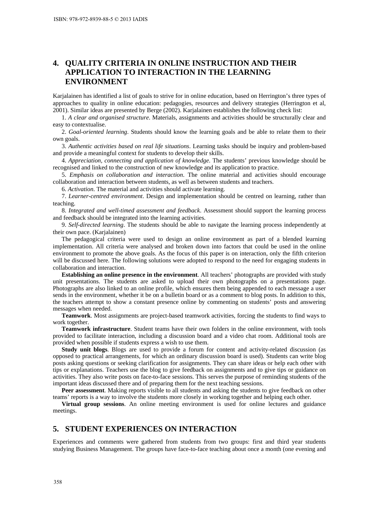## **4. QUALITY CRITERIA IN ONLINE INSTRUCTION AND THEIR APPLICATION TO INTERACTION IN THE LEARNING ENVIRONMENT**

Karjalainen has identified a list of goals to strive for in online education, based on Herrington's three types of approaches to quality in online education: pedagogies, resources and delivery strategies (Herrington et al, 2001). Similar ideas are presented by Berge (2002). Karjalainen establishes the following check list:

1. *A clear and organised structure*. Materials, assignments and activities should be structurally clear and easy to contextualise.

2. *Goal-oriented learning*. Students should know the learning goals and be able to relate them to their own goals.

3. *Authentic activities based on real life situations*. Learning tasks should be inquiry and problem-based and provide a meaningful context for students to develop their skills.

4. *Appreciation, connecting and application of knowledge*. The students' previous knowledge should be recognised and linked to the construction of new knowledge and its application to practice.

5. *Emphasis on collaboration and interaction*. The online material and activities should encourage collaboration and interaction between students, as well as between students and teachers.

6. *Activation*. The material and activities should activate learning.

7. *Learner-centred environment*. Design and implementation should be centred on learning, rather than teaching.

8. *Integrated and well-timed assessment and feedback*. Assessment should support the learning process and feedback should be integrated into the learning activities.

9. *Self-directed learning*. The students should be able to navigate the learning process independently at their own pace. (Karjalainen)

The pedagogical criteria were used to design an online environment as part of a blended learning implementation. All criteria were analysed and broken down into factors that could be used in the online environment to promote the above goals. As the focus of this paper is on interaction, only the fifth criterion will be discussed here. The following solutions were adopted to respond to the need for engaging students in collaboration and interaction.

**Establishing an online presence in the environment**. All teachers' photographs are provided with study unit presentations. The students are asked to upload their own photographs on a presentations page. Photographs are also linked to an online profile, which ensures them being appended to each message a user sends in the environment, whether it be on a bulletin board or as a comment to blog posts. In addition to this, the teachers attempt to show a constant presence online by commenting on students' posts and answering messages when needed.

**Teamwork**. Most assignments are project-based teamwork activities, forcing the students to find ways to work together.

**Teamwork infrastructure**. Student teams have their own folders in the online environment, with tools provided to facilitate interaction, including a discussion board and a video chat room. Additional tools are provided when possible if students express a wish to use them.

**Study unit blogs**. Blogs are used to provide a forum for content and activity-related discussion (as opposed to practical arrangements, for which an ordinary discussion board is used). Students can write blog posts asking questions or seeking clarification for assignments. They can share ideas or help each other with tips or explanations. Teachers use the blog to give feedback on assignments and to give tips or guidance on activities. They also write posts on face-to-face sessions. This serves the purpose of reminding students of the important ideas discussed there and of preparing them for the next teaching sessions.

**Peer assessment**. Making reports visible to all students and asking the students to give feedback on other teams' reports is a way to involve the students more closely in working together and helping each other.

**Virtual group sessions**. An online meeting environment is used for online lectures and guidance meetings.

#### **5. STUDENT EXPERIENCES ON INTERACTION**

Experiences and comments were gathered from students from two groups: first and third year students studying Business Management. The groups have face-to-face teaching about once a month (one evening and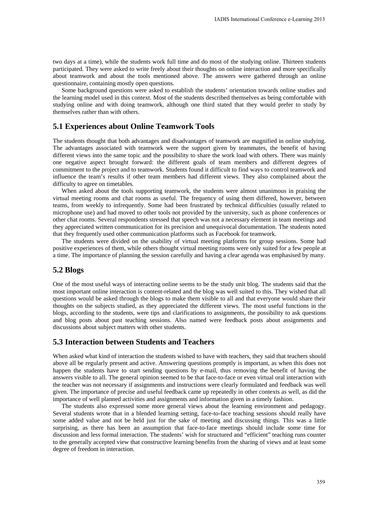two days at a time), while the students work full time and do most of the studying online. Thirteen students participated. They were asked to write freely about their thoughts on online interaction and more specifically about teamwork and about the tools mentioned above. The answers were gathered through an online questionnaire, containing mostly open questions.

Some background questions were asked to establish the students' orientation towards online studies and the learning model used in this context. Most of the students described themselves as being comfortable with studying online and with doing teamwork, although one third stated that they would prefer to study by themselves rather than with others.

#### **5.1 Experiences about Online Teamwork Tools**

The students thought that both advantages and disadvantages of teamwork are magnified in online studying. The advantages associated with teamwork were the support given by teammates, the benefit of having different views into the same topic and the possibility to share the work load with others. There was mainly one negative aspect brought forward: the different goals of team members and different degrees of commitment to the project and to teamwork. Students found it difficult to find ways to control teamwork and influence the team's results if other team members had different views. They also complained about the difficulty to agree on timetables.

When asked about the tools supporting teamwork, the students were almost unanimous in praising the virtual meeting rooms and chat rooms as useful. The frequency of using them differed, however, between teams, from weekly to infrequently. Some had been frustrated by technical difficulties (usually related to microphone use) and had moved to other tools not provided by the university, such as phone conferences or other chat rooms. Several respondents stressed that speech was not a necessary element in team meetings and they appreciated written communication for its precision and unequivocal documentation. The students noted that they frequently used other communication platforms such as Facebook for teamwork.

The students were divided on the usability of virtual meeting platforms for group sessions. Some had positive experiences of them, while others thought virtual meeting rooms were only suited for a few people at a time. The importance of planning the session carefully and having a clear agenda was emphasised by many.

#### **5.2 Blogs**

One of the most useful ways of interacting online seems to be the study unit blog. The students said that the most important online interaction is content-related and the blog was well suited to this. They wished that all questions would be asked through the blogs to make them visible to all and that everyone would share their thoughts on the subjects studied, as they appreciated the different views. The most useful functions in the blogs, according to the students, were tips and clarifications to assignments, the possibility to ask questions and blog posts about past teaching sessions. Also named were feedback posts about assignments and discussions about subject matters with other students.

#### **5.3 Interaction between Students and Teachers**

When asked what kind of interaction the students wished to have with teachers, they said that teachers should above all be regularly present and active. Answering questions promptly is important, as when this does not happen the students have to start sending questions by e-mail, thus removing the benefit of having the answers visible to all. The general opinion seemed to be that face-to-face or even virtual oral interaction with the teacher was not necessary if assignments and instructions were clearly formulated and feedback was well given. The importance of precise and useful feedback came up repeatedly in other contexts as well, as did the importance of well planned activities and assignments and information given in a timely fashion.

The students also expressed some more general views about the learning environment and pedagogy. Several students wrote that in a blended learning setting, face-to-face teaching sessions should really have some added value and not be held just for the sake of meeting and discussing things. This was a little surprising, as there has been an assumption that face-to-face meetings should include some time for discussion and less formal interaction. The students' wish for structured and "efficient" teaching runs counter to the generally accepted view that constructive learning benefits from the sharing of views and at least some degree of freedom in interaction.